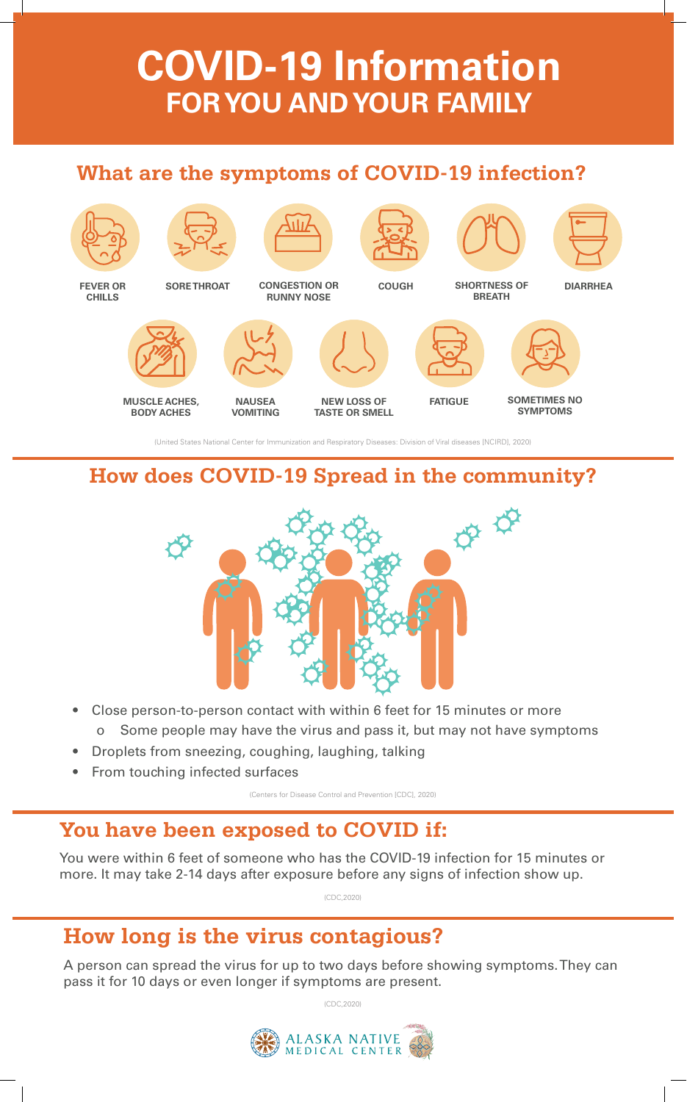# **COVID-19 Information FOR YOU AND YOUR FAMILY**

#### **What are the symptoms of COVID-19 infection?**



(United States National Center for Immunization and Respiratory Diseases: Division of Viral diseases [NCIRD], 2020)

### **How does COVID-19 Spread in the community?**



- Close person-to-person contact with within 6 feet for 15 minutes or more o Some people may have the virus and pass it, but may not have symptoms
- Droplets from sneezing, coughing, laughing, talking
- From touching infected surfaces

(Centers for Disease Control and Prevention [CDC], 2020)

### **You have been exposed to COVID if:**

You were within 6 feet of someone who has the COVID-19 infection for 15 minutes or more. It may take 2-14 days after exposure before any signs of infection show up.

(CDC,2020)

## **How long is the virus contagious?**

A person can spread the virus for up to two days before showing symptoms. They can pass it for 10 days or even longer if symptoms are present.

(CDC,2020)